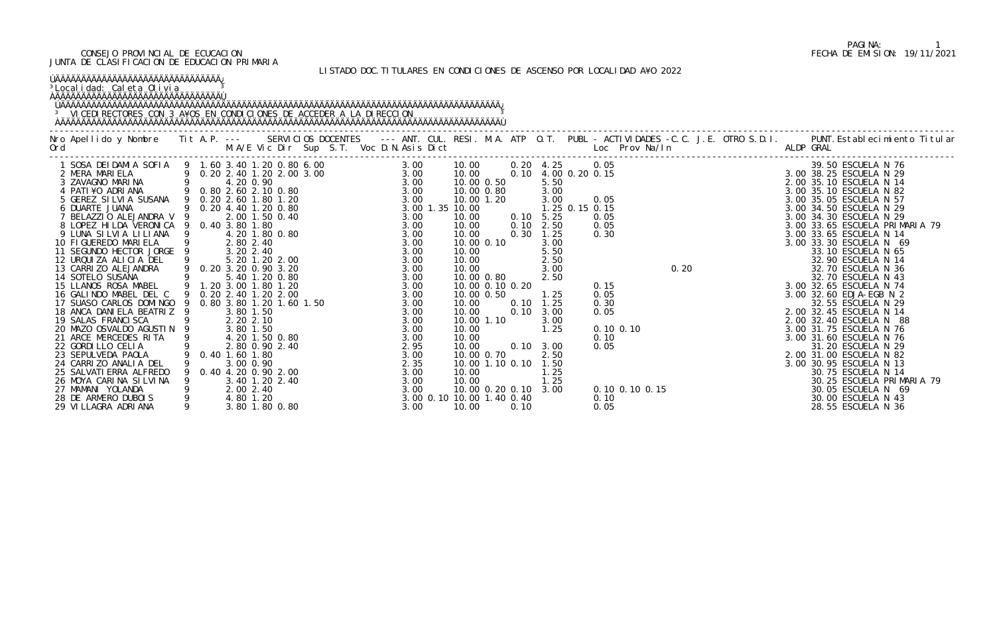LISTADO DOC.TITULARES EN CONDICIONES DE ASCENSO POR LOCALIDAD A¥O 2022

| <sup>3</sup> Localidad: Caleta Olivia                                                                                                                                                                                 | <sup>3</sup> VICEDI RECTORES CON 3 A¥OS EN CONDICIONES DE ACCEDER A LA DIRECCION                                                                     |                                                                                                                                                                                                                                                                                                                                                                                                                                                                                                                                                                                                                                                     |                                                                                                                                                                                                                                                                                                                                                                                                                                                                                                                                                 |                                                                                                                                                                                                                                                                                                                                        |
|-----------------------------------------------------------------------------------------------------------------------------------------------------------------------------------------------------------------------|------------------------------------------------------------------------------------------------------------------------------------------------------|-----------------------------------------------------------------------------------------------------------------------------------------------------------------------------------------------------------------------------------------------------------------------------------------------------------------------------------------------------------------------------------------------------------------------------------------------------------------------------------------------------------------------------------------------------------------------------------------------------------------------------------------------------|-------------------------------------------------------------------------------------------------------------------------------------------------------------------------------------------------------------------------------------------------------------------------------------------------------------------------------------------------------------------------------------------------------------------------------------------------------------------------------------------------------------------------------------------------|----------------------------------------------------------------------------------------------------------------------------------------------------------------------------------------------------------------------------------------------------------------------------------------------------------------------------------------|
|                                                                                                                                                                                                                       |                                                                                                                                                      | No Apellido y Nombre Tit A.P. --- SERVICIOS DOCENTES --- ANT. CUL. RESI. M.A. ATP O.T. PUBL - ACTIVIDADES -C.C. J.E. OTRO S.D.I. PUNT.Establecimiento Titular<br>Ord M.A/E Vic Dir Sup S.T. Voc D.N.Asis Dict Loc Prov Na/In ALDP                                                                                                                                                                                                                                                                                                                                                                                                                   |                                                                                                                                                                                                                                                                                                                                                                                                                                                                                                                                                 |                                                                                                                                                                                                                                                                                                                                        |
| 21 ARCE MERCEDES RITA 9<br>22 GORDILLO CELIA<br>23 SEPULVEDA PAOLA<br>24 CARRIZO ANALIA DEL<br>25 SALVATI ERRA ALFREDO<br>26 MOYA CARINA SILVINA<br>27 MAMANI YOLANDA<br>28 DE ARMERO DUBOIS<br>29 VI LLAGRA ADRI ANA | 4.20 1.50 0.80<br>2.80 0.90 2.40<br>0.40 1.60 1.80<br>3.00 0.90<br>0.40 4.20 0.90 2.00<br>3.40 1.20 2.40<br>2.00 2.40<br>4.80 1.20<br>3.80 1.80 0.80 | 0. 20 4. 25 0. 05<br>0.10 4.00 0.20 0.15<br>5.50<br>10.00 0.50<br>3.00<br>10.00 0.80<br>3.00<br>10.00 1.20<br>1.25 0.15 0.15<br>$0.10 \quad 5.25$<br>$0.10$ 2.50<br>$0.30$ 1.25<br>3.00<br>10.00 0.10<br>5.50<br>$2.50$<br>$3.00$<br>3.00<br>2.50<br>10.00 0.80<br>10.00 0.10 0.20<br>1.25<br>10.00 0.50<br>$0.10 \quad 1.25$<br>$0.10 \quad 3.00$<br>3.00<br>10.00 1.10<br>1.25<br>3.00<br>10.00<br>2.95<br>10.00<br>$0.10 \quad 3.00$<br>10.00 0.70<br>2.50<br>3.00<br>2.35<br>10.00 1.10 0.10<br>1.50<br>1.25<br>3.00<br>10.00<br>1.25<br>10.00<br>3.00<br>3.00<br>3.00<br>10.00 0.20 0.10<br>3.00 0.10 10.00 1.40 0.40<br>10.00<br>0.10<br>3.00 | 3. 00 38. 25 ESCUELA N 76<br>3. 00 38. 25 ESCUELA N 29<br>2. 00 35. 10 ESCUELA N 14<br>3. 00 35. 10 ESCUELA N 82<br>3. 00 35. 10 ESCUELA N 87<br>3. 00 34. 50 ESCUELA N 29<br>3. 00 34. 30 ESCUELA N 29<br>3. 00 34. 30 ESCUELA N 29<br>3. 00<br>0.05<br>0.05<br>0.05<br>0.30<br>32.70 ESCUELA IN 45<br>3.00 32.65 ESCUELA N 74<br>3.00 32.60 EDJA-EGB N 2<br>32.55 ESCUELA N 29<br>2.00 32.45 ESCUELA N 14<br>2.00 32.40 ESCUELA N 14<br>0.15<br>0.05<br>0.30<br>0.05<br>$0.10$ $0.10$<br>0.10<br>0.05<br>$0.10$ $0.10$ $0.15$<br>0.10<br>0.05 | 3.00 33.65 ESCUELA PRIMARIA 79<br>32.70 ESCUELA N 43<br>2.00 32.40 ESCUELA N 88<br>3.00 31.75 ESCUELA N 76<br>3.00 31.60 ESCUELA N 76<br>31.20 ESCUELA N 29<br>2.00 31.00 ESCUELA N 82<br>3.00 30.95 ESCUELA N 13<br>30.75 ESCUELA N 14<br>30.25 ESCUELA PRIMARIA 79<br>30.05 ESCUELA N 69<br>30.00 ESCUELA N 43<br>28.55 ESCUELA N 36 |

# PAGINA: 1<br>FECHA DE EMISION: 19/11/2021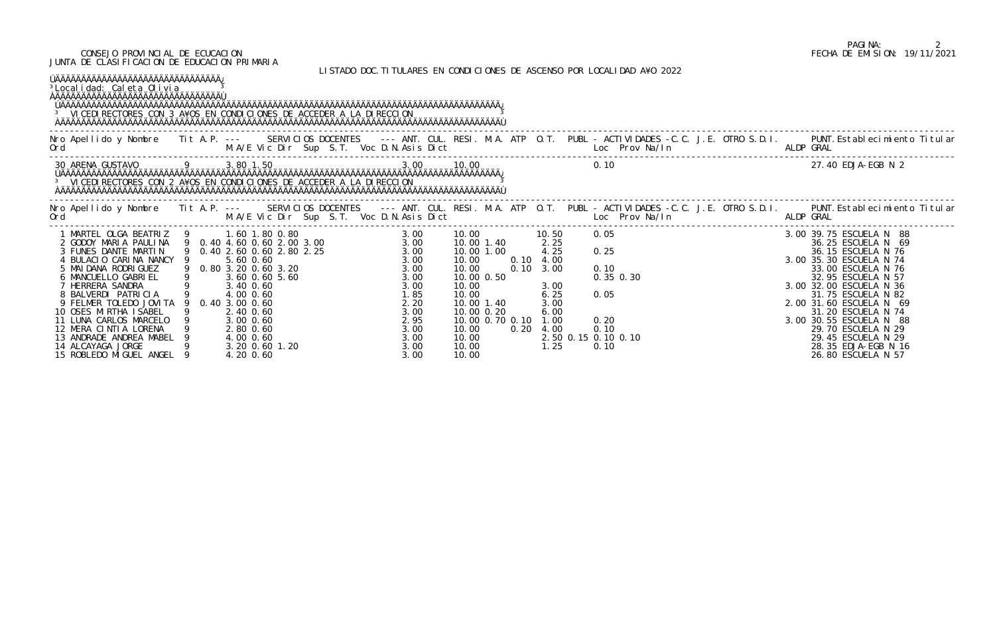LISTADO DOC.TITULARES EN CONDICIONES DE ASCENSO POR LOCALIDAD A¥O 2022

# PAGINA: 2<br>FECHA DE EMISION: 19/11/2021

| <sup>3</sup> Localidad: Caleta Olivia<br><b>JAAAAAAAAAAAAAAAAAAAAAAAAAAAAAAAA</b><br><sup>3</sup> VICEDI RECTORES CON 3 A¥OS EN CONDICIONES DE ACCEDER A LA DIRECCION |  |  |  |                                                                                       |  |                                                                                                                                |                                                                             |           |  |                                                                                                                                                                                                                                                                     |
|-----------------------------------------------------------------------------------------------------------------------------------------------------------------------|--|--|--|---------------------------------------------------------------------------------------|--|--------------------------------------------------------------------------------------------------------------------------------|-----------------------------------------------------------------------------|-----------|--|---------------------------------------------------------------------------------------------------------------------------------------------------------------------------------------------------------------------------------------------------------------------|
|                                                                                                                                                                       |  |  |  |                                                                                       |  |                                                                                                                                |                                                                             |           |  | Nro Apellido y Nombre Tit A.P. --- SERVICIOS DOCENTES --- ANT. CUL. RESI. M.A. ATP O.T. PUBL - ACTIVIDADES -C.C. J.E. OTRO S.D.I. PUNT.Establecimiento Titular<br>Ord M.A/E Vic Dir Sup S.T. Voc D.N.Asis Dict Loc Prov Na/In ALD                                   |
|                                                                                                                                                                       |  |  |  |                                                                                       |  |                                                                                                                                | 3.0010.00                                                                   |           |  | 27.40 EDJA-EGB N 2                                                                                                                                                                                                                                                  |
|                                                                                                                                                                       |  |  |  |                                                                                       |  |                                                                                                                                |                                                                             |           |  | Nro Apellido y Nombre Tit A.P. --- SERVICIOS DOCENTES --- ANT. CUL. RESI. M.A. ATP O.T. PUBL -ACTIVIDADES -C.C. J.E. OTRO S.D.I. PUNT.Establecimiento Titular<br>Ord M.A/E Vic Dir Sup S.T. Voc D.N.Asis Dict Loc Prov Na/In ALDP                                   |
|                                                                                                                                                                       |  |  |  | 10.00 1.40<br>10.00 1.00<br>10.00 0.50<br>10.00 1.40<br>10.00 0.20<br>10.00 0.70 0.10 |  | 10.50<br>2.25<br>4.25<br>$0.10 \quad 4.00$<br>$0.10 \quad 3.00$<br>3.00<br>6.25<br>3.00<br>6.00<br>1.00<br>$0.20$ 4.00<br>1.25 | 0.05<br>0.25<br>0.10<br>0.05<br>0.20<br>0.10<br>2.50 0.15 0.10 0.10<br>0.10 | 0.35 0.30 |  | 3. 00 39. 75 ESCUELA N 2<br>3. 00 39. 75 ESCUELA N 2<br>3. 00 39. 75 ESCUELA N 6<br>3. 00 35. 30 ESCUELA N 76<br>3. 00 35. 30 ESCUELA N 74<br>33. 00 ESCUELA N 76<br>32. 95 ESCUELA N 57<br>3. 00 32. 00 ESCUELA N 36<br>2. 00 31. 75 ESCUELA<br>26.80 ESCUELA N 57 |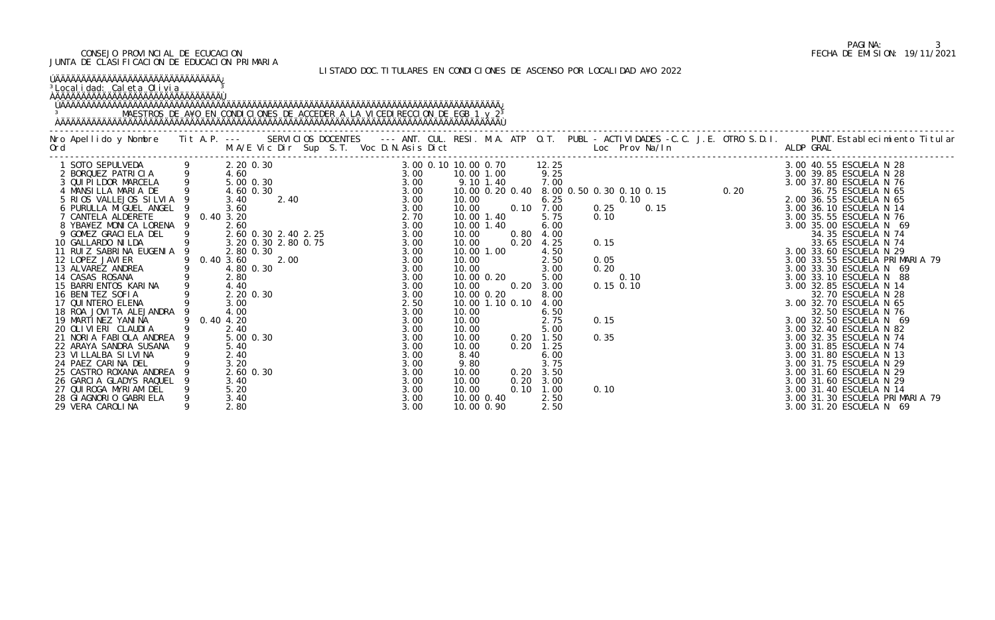### LISTADO DOC.TITULARES EN CONDICIONES DE ASCENSO POR LOCALIDAD A¥O 2022

| <u>ÚÄÄÄÄÄÄÄÄÄÄÄÄÄÄÄÄÄÄÄÄÄÄÄÄÄÄÄÄÄÄÄÄ</u><br><sup>3</sup> Localidad: Caleta Olivia                                          |                                           |                                      |                                                     |                      |                                      |      |                                                                                                                                                                                                                                                                                                                           |  |
|----------------------------------------------------------------------------------------------------------------------------|-------------------------------------------|--------------------------------------|-----------------------------------------------------|----------------------|--------------------------------------|------|---------------------------------------------------------------------------------------------------------------------------------------------------------------------------------------------------------------------------------------------------------------------------------------------------------------------------|--|
|                                                                                                                            |                                           |                                      |                                                     |                      |                                      |      | Nro Apellido y Nombre IIta.P. --- SERVICIOS DOCENTES --- ANT. CUL. RESI.M.A.ATP O.T. PUBL -ACTIVIDADES -C.C.J.E.OTRO S.D.I. PUNT.Establecimiento Titular<br>Ord M.A/E Vic Dir Sup S.T. Voc D.N.Asis Dict but Loc Prov Na/In Allop                                                                                         |  |
| 23 VILLALBA SILVINA<br>24 PAEZ CARINA DEL                                                                                  | 2.40<br>3.20                              | 3.00<br>3.00                         | 9.80                                                |                      | 3.75                                 |      | 0. 10 00 0. 70<br>$\frac{0.00}{7} + 0.00 = 0.00$<br>$\frac{0.00}{7} + 0.00 = 0.00$<br>$\frac{0.00}{7} + 0.00 = 0.00$<br>$\frac{0.00}{7} + 0.00 = 0.00$<br>$\frac{0.00}{7} + 0.00 = 0.00$<br>$\frac{0.00}{7} + 0.00 = 0.00$<br>$\frac{0.00}{7} + 0.00 = 0.00$<br>$\frac{0.00}{7} + 0.00 = 0.00$<br>3.00 31.75 ESCUELA N 29 |  |
| 25 CASTRO ROXANA ANDREA<br>26 GARCIA GLADYS RAQUEL<br>27 QUI ROGA MYRI AM DEL<br>28 GIAGNORIO GABRIELA<br>29 VERA CAROLINA | 2.60 0.30<br>3.40<br>5.20<br>3.40<br>2.80 | 3.00<br>3.00<br>3.00<br>3.00<br>3.00 | 10.00<br>10.00<br>10.00<br>10.00 0.40<br>10.00 0.90 | 0.20<br>0.20<br>0.10 | 3.50<br>3.00<br>1.00<br>2.50<br>2.50 | 0.10 | 3.00 31.60 ESCUELA N 29<br>3.00 31.60 ESCUELA N 29<br>3.00 31.40 ESCUELA N 14<br>3.00 31.30 ESCUELA PRIMARIA 79<br>3.00 31.20 ESCUELA N 69                                                                                                                                                                                |  |

# PAGINA: 3<br>FECHA DE EMISION: 19/11/2021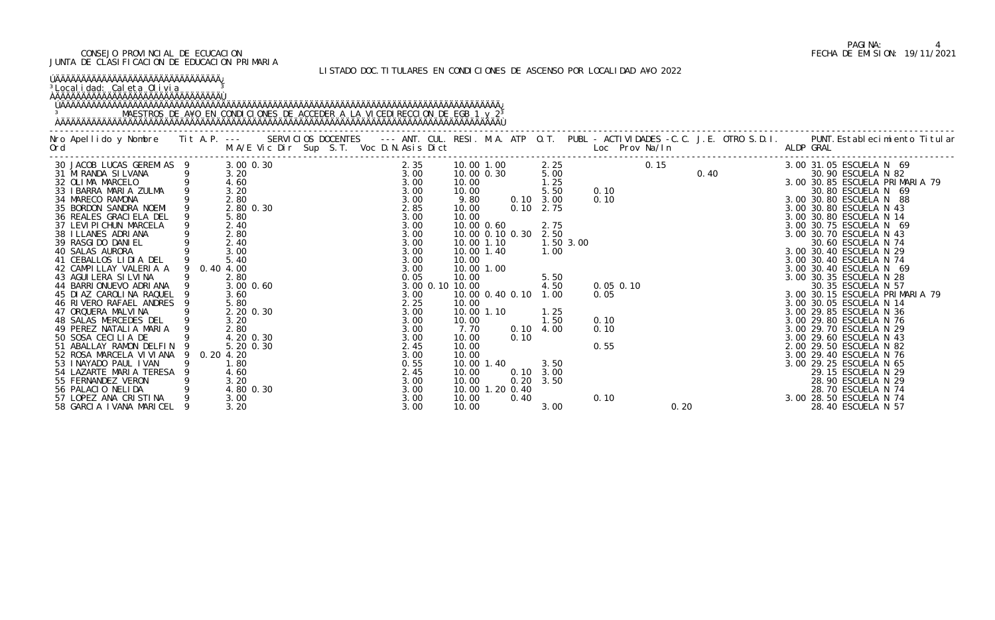### LISTADO DOC.TITULARES EN CONDICIONES DE ASCENSO POR LOCALIDAD A¥O 2022

| ÚAAAAAAAAAAAAAAAAAAAAAAAAAAAAAAA<br><sup>3</sup> Localidad: Caleta Olivia                                                                                                                                                                                                                                                                                                                                                                                                                                                                                                                                                                                                                       |                            |                                                                                                                                                                                                                                                 |  |                                                                                                                                                                                                                          |                                                                                                                                                               |                                                                                                                                                                       |                              |                                                                                                                                                                                 |           |      |      |  |                                                                                                                                                                                                                                                                                                                                                                                                                                                                                                                                                                                                                                                                                                                                                             |
|-------------------------------------------------------------------------------------------------------------------------------------------------------------------------------------------------------------------------------------------------------------------------------------------------------------------------------------------------------------------------------------------------------------------------------------------------------------------------------------------------------------------------------------------------------------------------------------------------------------------------------------------------------------------------------------------------|----------------------------|-------------------------------------------------------------------------------------------------------------------------------------------------------------------------------------------------------------------------------------------------|--|--------------------------------------------------------------------------------------------------------------------------------------------------------------------------------------------------------------------------|---------------------------------------------------------------------------------------------------------------------------------------------------------------|-----------------------------------------------------------------------------------------------------------------------------------------------------------------------|------------------------------|---------------------------------------------------------------------------------------------------------------------------------------------------------------------------------|-----------|------|------|--|-------------------------------------------------------------------------------------------------------------------------------------------------------------------------------------------------------------------------------------------------------------------------------------------------------------------------------------------------------------------------------------------------------------------------------------------------------------------------------------------------------------------------------------------------------------------------------------------------------------------------------------------------------------------------------------------------------------------------------------------------------------|
|                                                                                                                                                                                                                                                                                                                                                                                                                                                                                                                                                                                                                                                                                                 |                            |                                                                                                                                                                                                                                                 |  |                                                                                                                                                                                                                          |                                                                                                                                                               |                                                                                                                                                                       |                              |                                                                                                                                                                                 |           |      |      |  | Nro Apellido y Nombre IIt A.P. --- SERVICIOS DOCENTES --- ANT. CUL. RESI. M.A. ATP O.T. PUBL - ACTIVIDADES -C.C. J.E. OTRO S.D.I. PUNT.Establecimiento Titular M.A/E Vic Dir Sup S.T. Voc D.N.Asis Dict Loc Prov Na/In And ALD                                                                                                                                                                                                                                                                                                                                                                                                                                                                                                                              |
| 30 JACOB LUCAS GEREMIAS 9<br>31 MIRANDA SILVANA 9<br>32 OLIMA MARCELO 9<br>33 IBARRA MARIA ZULMA 9<br>34 MARECO RAMONA<br>35 BORDON SANDRA NOEMI 9<br>36 REALES GRACI ELA DEL<br>37 LEVI PI CHUN MARCELA<br>38 I LLANES ADRI ANA<br>SALAS AURORA<br>41 CEBALLOS LIDIA DEL 9<br>3 CAMPILLAY VALERIA<br>3 CAMPILLAY VALERIA<br>44 BARRI ONUEVO ADRI ANA 9<br>45 DIAZ CAROLINA RAQUEL<br>46 RIVERO RAFAEL ANDRES<br>47 ORQUERA MALVINA<br>48 SALAS MERCEDES DEL 9<br>49 PEREZ NATALIA MARIA<br>50 SOSA CECILIA DE<br>51 ABALLAY RAMON DELFIN 9<br>52 ROSA MARCELA VIVIANA<br>53 I NAYADO PAUL I VAN<br>54 LAZARTE MARIA TERESA<br>55 FERNANDEZ VERON<br>56 PALACIO NELIDA<br>57 LOPEZ ANA CRISTINA | 9 0.40 4.00<br>9 0.20 4.20 | 3.00 0.30<br>3.20<br>4.60<br>3.20<br>2.80<br>2.80 0.30<br>5.80<br>2.40<br>2.80<br>2.40<br>3.00<br>5.40<br>2.80<br>3.00 0.60<br>3.60<br>5.80<br>2.20 0.30<br>3.20<br>2.80<br>4.20 0.30<br>5.20 0.30<br>1.80<br>4.60<br>3.20<br>4.80 0.30<br>3.00 |  | 2.35<br>$3.00$<br>$3.00$<br>3.00<br>3.00<br>2.85<br>3.00<br>3.00<br>3.00<br>3.00<br>3.00<br>3.00<br>3.00<br>0.05<br>3.00<br>2.25<br>3.00<br>3.00<br>3.00<br>3.00<br>2.45<br>3.00<br>0.55<br>2.45<br>3.00<br>3.00<br>3.00 | 10.00<br>10.00<br>9.80<br>10.00<br>10.00<br>10.00<br>10.00<br>3.00 0.10 10.00<br>10.00<br>10.00<br>7.70<br>10.00<br>10.00<br>10.00<br>10.00<br>10.00<br>10.00 | 10.00 1.00<br>10.00 0.30<br>10.00 0.60<br>10.00 0.10 0.30<br>10.00 1.10<br>10.00 1.40<br>10.00 1.00<br>10.00 0.40 0.10<br>10.00 1.10<br>10.00 1.40<br>10.00 1.20 0.40 | 0.10<br>0.10<br>0.20<br>0.40 | 2.25<br>5.00<br>1.25<br>5.50<br>$0.10 \quad 3.00$<br>$0.10$ $2.75$<br>2.75<br>2.50<br>1.00<br>5.50<br>4.50<br>1.00<br>1.25<br>1.50<br>$0.10 \quad 4.00$<br>3.50<br>3.00<br>3.50 | 1.50 3.00 | 0.10 |      |  | 3.00 31.05 ESCUELA N 69<br>30.90 ESCUELA N 82<br>3.00 30.85 ESCUELA PRIMARIA 79<br>30.80 ESCUELA N 69<br>3.00 30.80 ESCUELA N 88<br>3.00 30.80 ESCUELA N 43<br>3.00 30.80 ESCUELA N 14<br>3.00 30.75 ESCUELA N 69<br>3.00 30.70 ESCUELA N 43<br>30.60 ESCUELA N 74<br>3.00 30.40 ESCUELA N 29<br>3.00 30.40 ESCUELA N 74<br>3.00 30.40 ESCUELA N 69<br>3.00 30.35 ESCUELA N 28<br>30.35 ESCUELA N 57<br>3.00 30.15 ESCUELA PRIMARIA 79<br>3.00 30.05 ESCUELA N 14<br>3.00 29.85 ESCUELA N 36<br>3.00 29.80 ESCUELA N 76<br>3.00 29.70 ESCUELA N 29<br>3.00 29.60 ESCUELA N 43<br>2.00 29.50 ESCUELA N 82<br>3.00 29.40 ESCUELA N 76<br>3.00 29.25 ESCUELA N 65<br>29.15 ESCUELA N 29<br>28.90 ESCUELA N 29<br>28.70 ESCUELA N 74<br>3.00 28.50 ESCUELA N 74 |
| 58 GARCIA IVANA MARICEL 9                                                                                                                                                                                                                                                                                                                                                                                                                                                                                                                                                                                                                                                                       |                            | 3.20                                                                                                                                                                                                                                            |  | 3.00                                                                                                                                                                                                                     | 10.00                                                                                                                                                         |                                                                                                                                                                       |                              | 3.00                                                                                                                                                                            |           |      | 0.20 |  | 28.40 ESCUELA N 57                                                                                                                                                                                                                                                                                                                                                                                                                                                                                                                                                                                                                                                                                                                                          |

# PAGINA: 4<br>FECHA DE EMISION: 19/11/2021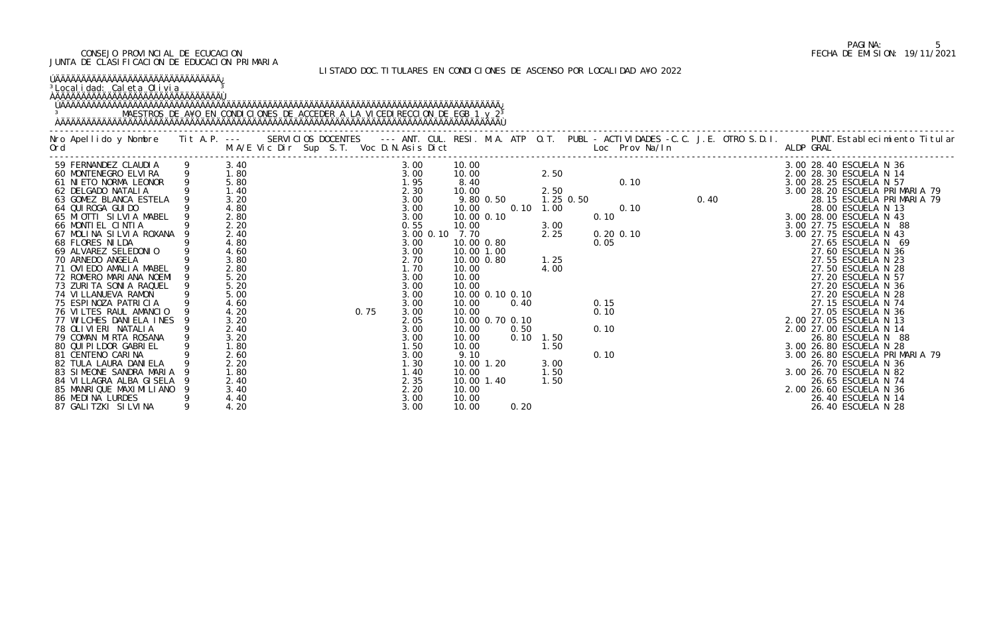### LISTADO DOC.TITULARES EN CONDICIONES DE ASCENSO POR LOCALIDAD A¥O 2022

| ÚÄÄÄÄÄÄÄÄÄÄÄÄÄÄÄÄÄÄÄÄÄÄÄÄÄÄÄÄÄÄÄÄÄÄÄÄ<br><sup>3</sup> Localidad: Caleta Olivia<br><b>AAAAAAAAAAAAAAAAAAAAAAAAAAAAAAAAAA</b>                                                                                                                                                                                                                                                                                                                                                                                                                                                                                                                                                                                                                  |                                                                                                                                                                                                                                                             |  |      |                                                                                                                                                                                                                      |               |                                                                                                                                                                                                                                                          |           |                                                                    |                                                                                             |             |                                              |                               |      |                                                                                                                                                                                                                                                                                                                                                                                                                                                                                                                                                                                                                                                                                                                            |
|----------------------------------------------------------------------------------------------------------------------------------------------------------------------------------------------------------------------------------------------------------------------------------------------------------------------------------------------------------------------------------------------------------------------------------------------------------------------------------------------------------------------------------------------------------------------------------------------------------------------------------------------------------------------------------------------------------------------------------------------|-------------------------------------------------------------------------------------------------------------------------------------------------------------------------------------------------------------------------------------------------------------|--|------|----------------------------------------------------------------------------------------------------------------------------------------------------------------------------------------------------------------------|---------------|----------------------------------------------------------------------------------------------------------------------------------------------------------------------------------------------------------------------------------------------------------|-----------|--------------------------------------------------------------------|---------------------------------------------------------------------------------------------|-------------|----------------------------------------------|-------------------------------|------|----------------------------------------------------------------------------------------------------------------------------------------------------------------------------------------------------------------------------------------------------------------------------------------------------------------------------------------------------------------------------------------------------------------------------------------------------------------------------------------------------------------------------------------------------------------------------------------------------------------------------------------------------------------------------------------------------------------------------|
|                                                                                                                                                                                                                                                                                                                                                                                                                                                                                                                                                                                                                                                                                                                                              |                                                                                                                                                                                                                                                             |  |      |                                                                                                                                                                                                                      |               |                                                                                                                                                                                                                                                          |           |                                                                    |                                                                                             |             |                                              |                               |      | Nro Apellido y Nombre Tit A.P. --- SERVICIOS DOCENTES --- ANT. CUL. RESI. M.A. ATP O.T. PUBL - ACTIVIDADES -C.C. J.E. OTRO S.D.I. PUNT.Establecimiento Titular<br>M.A/E Vic Dir Sup S.T. Voc D.N.Asis Dict Loc Prov Na/In ALDP GR                                                                                                                                                                                                                                                                                                                                                                                                                                                                                          |
| 59 FERNANDEZ CLAUDIA             9<br>60 MONTENEGRO ELVIRA             9<br>61 NIETO NORMA LEONOR         9<br>62 DELGADO NATALIA<br>63 GOMEZ BLANCA ESTELA<br>64 QUI ROGA GUI DO<br>65 MIOTTI SILVIA MABEL<br>66 MONTIEL CINTIA<br>67 MOLINA SILVIA ROXANA<br>68 FLORES NILDA<br>69 ALVAREZ SELEDONIO<br>70 ARNEDO ANGELA<br>71 OVIEDO AMALIA MABEL<br>72 ROMERO MARIANA NOEMI<br>73 ZURITA SONIA RAQUEL<br>74 VILLANUEVA RAMON<br>75 ESPINOZA PATRICIA<br>76 VILTES RAUL AMANCIO<br>77 WILCHES DANIELA INES<br>78 OLIVIERI NATALIA<br>79 COMAN MIRTA ROSANA<br>80 QUI PI LDOR GABRI EL<br>81 CENTENO CARINA<br>82 TULA LAURA DANI ELA<br>83 SIMEONE SANDRA MARIA<br>84 VILLAGRA ALBA GISELA<br>85 MANRIQUE MAXIMILIANO<br>86 MEDINA LURDES | 3.40<br>$\begin{array}{c} 1.80 \\ 5.80 \end{array}$<br>1.40<br>3.20<br>4.80<br>2.80<br>2.20<br>2.40<br>4.80<br>4.60<br>3.80<br>2.80<br>5.20<br>5.20<br>5.00<br>4.60<br>4.20<br>3.20<br>2.40<br>3.20<br>1.80<br>2.60<br>2.20<br>1.80<br>2.40<br>3.40<br>4.40 |  | 0.75 | 3.00<br>3.00<br>1.95<br>2.30<br>3.00<br>3.00<br>3.00<br>0.55<br>3.00<br>3.00<br>2.70<br>1.70<br>3.00<br>3.00<br>3.00<br>3.00<br>3.00<br>2.05<br>3.00<br>3.00<br>1.50<br>3.00<br>1.30<br>1.40<br>2.35<br>2.20<br>3.00 | $3.00$ $0.10$ | 10.00<br>10.00<br>8.40<br>10.00<br>10.00<br>10.00 0.10<br>10.00<br>7.70<br>10.00 0.80<br>10.00 1.00<br>10.00 0.80<br>10.00<br>10.00<br>10.00<br>10.00<br>10.00<br>10.00<br>10.00<br>10.00<br>9.10<br>10.00 1.20<br>10.00<br>10.00 1.40<br>10.00<br>10.00 | 9.80 0.50 | 0.10<br>10.00 0.10 0.10<br>0.40<br>10.00 0.70 0.10<br>0.50<br>0.10 | 2.50<br>2.50<br>1.00<br>3.00<br>2.25<br>1.25<br>4.00<br>1.50<br>.50<br>3.00<br>1.50<br>1.50 | $1.25$ 0.50 | 0.10<br>0.05<br>0.15<br>0.10<br>0.10<br>0.10 | 0.10<br>0.10<br>$0.20$ $0.10$ | 0.40 | 3.00 28.40 ESCUELA N 36<br>2.00 28.30 ESCUELA N 14<br>3.00 28.25 ESCUELA N 57<br>3.00 28.20 ESCUELA PRIMARIA 79<br>28.15 ESCUELA PRIMARIA 79<br>28.00 ESCUELA N 13<br>3.00 28.00 ESCUELA N 43<br>3.00 27.75 ESCUELA N 88<br>3.00 27.75 ESCUELA N 43<br>27.65 ESCUELA N 69<br>27.60 ESCUELA N 36<br>27.55 ESCUELA N 23<br>27.50 ESCUELA N 28<br>27.20 ESCUELA N 57<br>27.20 ESCUELA N 36<br>27.20 ESCUELA N 28<br>27.15 ESCUELA N 74<br>27.05 ESCUELA N 36<br>2.00 27.05 ESCUELA N 13<br>2.00 27.00 ESCUELA N 14<br>26.80 ESCUELA N 88<br>3.00 26.80 ESCUELA N 28<br>3.00 26.80 ESCUELA PRIMARIA 79<br>26.70 ESCUELA N 36<br>3.00 26.70 ESCUELA N 82<br>26.65 ESCUELA N 74<br>2.00 26.60 ESCUELA N 36<br>26.40 ESCUELA N 14 |
| 87 GALI TZKI SI LVI NA                                                                                                                                                                                                                                                                                                                                                                                                                                                                                                                                                                                                                                                                                                                       | 4.20                                                                                                                                                                                                                                                        |  |      | 3.00                                                                                                                                                                                                                 |               | 10.00                                                                                                                                                                                                                                                    |           | 0.20                                                               |                                                                                             |             |                                              |                               |      | 26.40 ESCUELA N 28                                                                                                                                                                                                                                                                                                                                                                                                                                                                                                                                                                                                                                                                                                         |

# PAGINA: 5<br>FECHA DE EMISION: 19/11/2021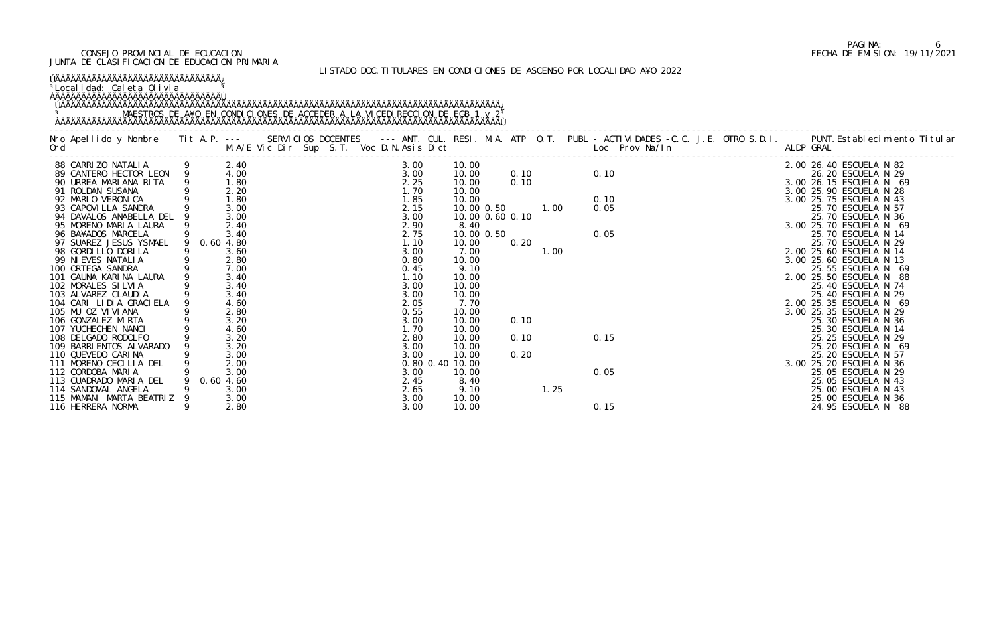### LISTADO DOC.TITULARES EN CONDICIONES DE ASCENSO POR LOCALIDAD A¥O 2022

| ÚÄÄÄÄÄÄÄÄÄÄÄÄÄÄÄÄÄÄÄÄÄÄÄÄÄÄÄÄÄÄÄÄÄÄÄÄ<br><sup>3</sup> Localidad: Caleta Olivia<br><b>OAAAAAAAAAAAAAAAAAAAAAAAAAAAAAAAAAA</b>                                                                                                      |                                      |  |                                      |                                                              |              |      |              |  |                                                                                                                           |
|-----------------------------------------------------------------------------------------------------------------------------------------------------------------------------------------------------------------------------------|--------------------------------------|--|--------------------------------------|--------------------------------------------------------------|--------------|------|--------------|--|---------------------------------------------------------------------------------------------------------------------------|
| Nro Apellido y Nombre Tit A.P. --- SERVICIOS DOCENTES --- ANT. CUL. RESI. M.A. ATP O.T. PUBL -ACTIVIDADES -C.C. J.E. OTRO S.D.I. PUNT.Establecimiento Titular<br>Ord                               M.A/E Vic Dir Sup S.T. Voc D.N |                                      |  |                                      |                                                              |              |      |              |  |                                                                                                                           |
| 88 CARRIZO NATALIA 9<br>89 CANTERO HECTOR LEON 9<br>90 URREA MARIANA RITA 9<br>91 ROLDAN SUSANA<br>92 MARIO VERONICA                                                                                                              | 2.40<br>4.00<br>1.80<br>2.20<br>1.80 |  | 3.00<br>3.00<br>2.25<br>1.70         | 10.00<br>10.00<br>10.00<br>10.00                             | 0.10<br>0.10 |      | 0.10<br>0.10 |  | 2.00 26.40 ESCUELA N 82<br>26.20 ESCUELA N 29<br>3.00 26.15 ESCUELA N 69<br>3.00 25.90 ESCUELA N 28                       |
| 93 CAPOVI LLA SANDRA<br>94 DAVALOS ANABELLA DEL<br>95 MORENO MARIA LAURA<br>96 BA¥ADOS MARCELA                                                                                                                                    | 3.00<br>3.00<br>2.40<br>3.40         |  | 1.85<br>2.15<br>3.00<br>2.90<br>2.75 | 10.00<br>10.00 0.50<br>10.00 0.60 0.10<br>8.40<br>10.00 0.50 |              | 1.00 | 0.05<br>0.05 |  | 3.00 25.75 ESCUELA N 43<br>25.70 ESCUELA N 57<br>25.70 ESCUELA N 36<br>3.00 25.70 ESCUELA N 69<br>25.70 ESCUELA N 14      |
| 97 SUAREZ JESUS YSMAEL<br>98 GORDI LLO DORI LA<br>99 NI EVES NATALI A<br>100 ORTEGA SANDRA                                                                                                                                        | 0.60 4.80<br>3.60<br>2.80<br>7.00    |  | 1.10<br>3.00<br>0.80<br>0.45         | 10.00<br>7.00<br>10.00<br>9.10                               | 0.20         | 1.00 |              |  | 25.70 ESCUELA N 29<br>2.00 25.60 ESCUELA N 14<br>3.00 25.60 ESCUELA N 13<br>25.55 ESCUELA N 69                            |
| 101 GAUNA KARINA LAURA<br>102 MORALES SILVIA<br>103 ALVAREZ CLAUDIA<br>104 CARI LIDIA GRACIELA<br>105 MU OZ VIVIANA                                                                                                               | 3.40<br>3.40<br>3.40<br>4.60<br>2.80 |  | 1.10<br>3.00<br>3.00<br>2.05<br>0.55 | 10.00<br>10.00<br>10.00<br>7.70<br>10.00                     |              |      |              |  | 2.00 25.50 ESCUELA N 88<br>25.40 ESCUELA N 74<br>25.40 ESCUELA N 29<br>2.00 25.35 ESCUELA N 69<br>3.00 25.35 ESCUELA N 29 |
| 106 GONZALEZ MIRTA<br>107 YUCHECHEN NANCI<br>108 DELGADO RODOLFO<br>109 BARRI ENTOS ALVARADO                                                                                                                                      | 3.20<br>4.60<br>3.20<br>3.20         |  | 3.00<br>1.70<br>2.80<br>3.00         | 10.00<br>10.00<br>10.00<br>10.00                             | 0.10<br>0.10 |      | 0.15         |  | 25.30 ESCUELA N 36<br>25.30 ESCUELA N 14<br>25.25 ESCUELA N 29<br>25.20 ESCUELA N 69                                      |
| 110 QUEVEDO CARINA<br>111 MORENO CECILIA DEL<br>112 CORDOBA MARIA<br>113 CUADRADO MARIA DEL                                                                                                                                       | 3.00<br>2.00<br>3.00<br>0.604.60     |  | 3.00<br>3.00<br>2.45                 | 10.00<br>0.80 0.40 10.00<br>10.00<br>8.40                    | 0.20         |      | 0.05         |  | 25.20 ESCUELA N 57<br>3.00 25.20 ESCUELA N 36<br>25.05 ESCUELA N 29<br>25.05 ESCUELA N 43                                 |
| 114 SANDOVAL ANGELA<br>115 MAMANI MARTA BEATRIZ<br>116 HERRERA NORMA                                                                                                                                                              | 3.00<br>3.00<br>2.80                 |  | 2.65<br>3.00<br>3.00                 | 9.10<br>10.00<br>10.00                                       |              | 1.25 | 0.15         |  | 25.00 ESCUELA N 43<br>25.00 ESCUELA N 36<br>24.95 ESCUELA N 88                                                            |

# PAGINA: 6<br>FECHA DE EMISION: 19/11/2021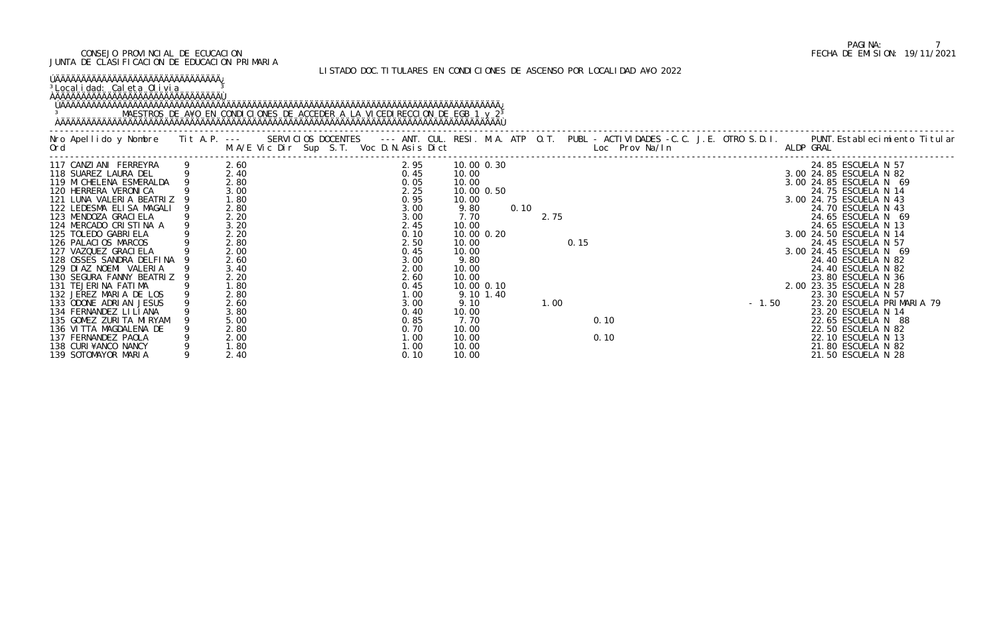#### <sup>3</sup>Localidad: Caleta Olivia <u>3</u> ÀÄÄÄÄÄÄÄÄÄÄÄÄÄÄÄÄÄÄÄÄÄÄÄÄÄÄÄÄÄÄÄÄÙ

#### LISTADO DOC.TITULARES EN CONDICIONES DE ASCENSO POR LOCALIDAD A¥O 2022

### ÚÄÄÄÄÄÄÄÄÄÄÄÄÄÄÄÄÄÄÄÄÄÄÄÄÄÄÄÄÄÄÄÄ¿

### ÚÄÄÄÄÄÄÄÄÄÄÄÄÄÄÄÄÄÄÄÄÄÄÄÄÄÄÄÄÄÄÄÄÄÄÄÄÄÄÄÄÄÄÄÄÄÄÄÄÄÄÄÄÄÄÄÄÄÄÄÄÄÄÄÄÄÄÄÄÄÄÄÄÄÄÄÄÄÄÄÄÄÄÄÄÄ¿ 3 MAESTROS DE A¥O EN CONDICIONES DE ACCEDER A LA VICEDIRECCION DE EGB 1 y 2<sup>3</sup> ÀÄÄÄÄÄÄÄÄÄÄÄÄÄÄÄÄÄÄÄÄÄÄÄÄÄÄÄÄÄÄÄÄÄÄÄÄÄÄÄÄÄÄÄÄÄÄÄÄÄÄÄÄÄÄÄÄÄÄÄÄÄÄÄÄÄÄÄÄÄÄÄÄÄÄÄÄÄÄÄÄÄÄÄÄÄÙ

| Ord                      | M.A/E Vic Dir Sup S.T. Voc D.N.Asis Dict |      |              |      | Nro Apellido y Nombre Tit A.P. --- SERVICIOS DOCENTES --- ANT. CUL. RESI. M.A. ATP O.T. PUBL - ACTIVIDADES -C.C. J.E. OTRO S.D.I. PUNT.Establecimiento Titular<br>Loc Prov Na/In ALDP GRAL |
|--------------------------|------------------------------------------|------|--------------|------|--------------------------------------------------------------------------------------------------------------------------------------------------------------------------------------------|
| 117 CANZIANI FERREYRA    | 2.60                                     | 2.95 | 10.00 0.30   |      | 24.85 ESCUELA N 57<br>$2.75$<br>0.15                                                                                                                                                       |
| 118 SUAREZ LAURA DEL     | 2.40                                     | 0.45 | 10.00        |      | 3.00 24.85 ESCUELA N 82                                                                                                                                                                    |
| 119 MI CHELENA ESMERALDA | 2.80                                     | 0.05 | 10.00        |      | 3.00 24.85 ESCUELA N 69                                                                                                                                                                    |
| 120 HERRERA VERONICA     | 3.00                                     | 2.25 | 10.00 0.50   |      | 24.75 ESCUELA N 14                                                                                                                                                                         |
| 121 LUNA VALERIA BEATRIZ | 1.80                                     | 0.95 | 10.00        |      | 3.00 24.75 ESCUELA N 43                                                                                                                                                                    |
| 122 LEDESMA ELISA MAGALI | 2.80                                     | 3.00 | 9.80<br>0.10 |      | 24.70 ESCUELA N 43                                                                                                                                                                         |
| 123 MENDOZA GRACI ELA    | 2.20                                     | 3.00 | 7.70         |      | 24.65 ESCUELA N 69                                                                                                                                                                         |
| 124 MERCADO CRISTINA A   | 3.20                                     | 2.45 | 10.00        |      | 24.65 ESCUELA N 13                                                                                                                                                                         |
| 125 TOLEDO GABRIELA      | 2.20                                     | 0.10 | 10.00 0.20   |      | 3.00 24.50 ESCUELA N 14                                                                                                                                                                    |
| 126 PALACIOS MARCOS      | 2.80                                     | 2.50 | 10.00        | 0.15 | 24.45 ESCUELA N 57                                                                                                                                                                         |
| 127 VAZQUEZ GRACI ELA    | 2.00                                     | 0.45 | 10.00        |      | 3.00 24.45 ESCUELA N 69                                                                                                                                                                    |
| 128 OSSES SANDRA DELFINA | 2.60                                     | 3.00 | 9.80         |      | 24.40 ESCUELA N 82                                                                                                                                                                         |
| 129 DIAZ NOEMI VALERIA   | 3.40                                     | 2.00 | 10.00        |      | 24.40 ESCUELA N 82                                                                                                                                                                         |
| 130 SEGURA FANNY BEATRIZ | 2.20                                     | 2.60 | 10.00        |      | 23.80 ESCUELA N 36                                                                                                                                                                         |
| 131 TEJERINA FATIMA      | 1.80                                     | 0.45 | 10.00 0.10   |      | 2.00 23.35 ESCUELA N 28                                                                                                                                                                    |
| 132 JEREZ MARIA DE LOS   | 2.80                                     | 1.00 | 9.10 1.40    |      | 23.30 ESCUELA N 57                                                                                                                                                                         |
| 133 ODONE ADRIAN JESUS   | 2.60                                     | 3.00 | 9.10         | 1.00 | 23.20 ESCUELA PRIMARIA 79<br>$-1.50$                                                                                                                                                       |
| 134 FERNANDEZ LILIANA    | 3.80                                     | 0.40 | 10.00        |      | 23.20 ESCUELA N 14                                                                                                                                                                         |
| 135 GOMEZ ZURITA MIRYAM  | 5.00                                     | 0.85 | 7.70         | 0.10 | 22.65 ESCUELA N 88                                                                                                                                                                         |
| 136 VITTA MAGDALENA DE   | 2.80                                     | 0.70 | 10.00        |      | 22.50 ESCUELA N 82                                                                                                                                                                         |
| 137 FERNANDEZ PAOLA      | 2.00                                     | 1.00 | 10.00        | 0.10 | 22.10 ESCUELA N 13                                                                                                                                                                         |
| 138 CURI¥ANCO NANCY      | 1.80                                     | 1.00 | 10.00        |      | 21.80 ESCUELA N 82                                                                                                                                                                         |
| 139 SOTOMAYOR MARIA      | 2.40                                     | 0.10 | 10.00        |      | 21.50 ESCUELA N 28                                                                                                                                                                         |

### PAGINA: 7<br>FECHA DE EMISION: 19/11/2021